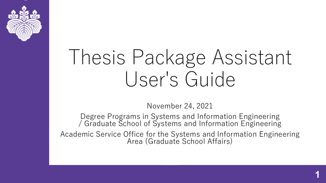

# Thesis Package Assistant User's Guide

November 24, 2021

Degree Programs in Systems and Information Engineering / Graduate School of Systems and Information Engineering Academic Service Office for the Systems and Information Engineering Area (Graduate School Affairs)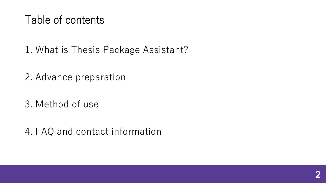#### Table of contents

1. What is Thesis Package Assistant?

2. Advance preparation

3. Method of use

4. FAQ and contact information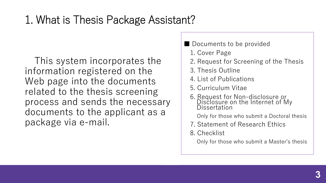#### 1. What is Thesis Package Assistant?

This system incorporates the information registered on the Web page into the documents related to the thesis screening process and sends the necessary documents to the applicant as a package via e-mail.

■ Documents to be provided

1. Cover Page

- 2. Request for Screening of the Thesis
- 3. Thesis Outline
- 4. List of Publications
- 5. Curriculum Vitae
- 6. Request for Non-disclosure or Disclosure on the Internet of My Dissertation
	- Only for those who submit a Doctoral thesis
- 7. Statement of Research Ethics
- 8. Checklist

Only for those who submit a Master's thesis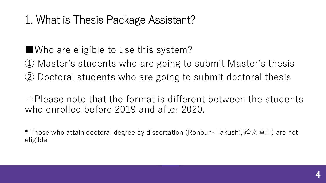#### 1. What is Thesis Package Assistant?

■Who are eligible to use this system?

① Master's students who are going to submit Master's thesis ② Doctoral students who are going to submit doctoral thesis

⇒Please note that the format is different between the students who enrolled before 2019 and after 2020.

 $\,^*$  Those who attain doctoral degree by dissertation (Ronbun-Hakushi, 論文博士) are not eligible.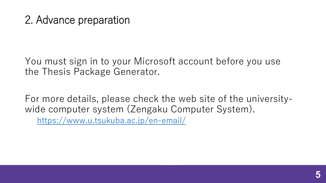#### 2. Advance preparation

You must sign in to your Microsoft account before you use the Thesis Package Generator.

For more details, please check the web site of the universitywide computer system (Zengaku Computer System). <https://www.u.tsukuba.ac.jp/en-email/>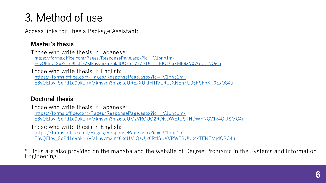Access links for Thesis Package Assistant:

#### **Master's thesis**

Those who write thesis in Japanese: https://forms.office.com/Pages/ResponsePage.aspx?id=\_V1bnp1m-[E6yQEIpy\\_SoPd1d9bkLlrVMknvvm3mz6kdUOEY1VEZNU01IUFJOT0pXME9ZV0VGUk1NQi4u](https://forms.office.com/Pages/ResponsePage.aspx?id=_V1bnp1m-E6yQEIpy_SoPd1d9bkLlrVMknvvm3mz6kdUOEY1VEZNU01IUFJOT0pXME9ZV0VGUk1NQi4u)

Those who write thesis in English: https://forms.office.com/Pages/ResponsePage.aspx?id=\_V1bnp1m-[E6yQEIpy\\_SoPd1d9bkLlrVMknvvm3mz6kdURExXUktHTlVLRUJXNEhFU05FSFpKT0ExOS4u](https://forms.office.com/Pages/ResponsePage.aspx?id=_V1bnp1m-E6yQEIpy_SoPd1d9bkLlrVMknvvm3mz6kdURExXUktHTlVLRUJXNEhFU05FSFpKT0ExOS4u)

#### **Doctoral thesis**

Those who write thesis in Japanese: https://forms.office.com/Pages/ResponsePage.aspx?id=\_V1bnp1m-[E6yQEIpy\\_SoPd1d9bkLlrVMknvvm3mz6kdUMzVROUQ2RDNDWEJUSTNDWFNCV1g4QktSMC4u](https://forms.office.com/Pages/ResponsePage.aspx?id=_V1bnp1m-E6yQEIpy_SoPd1d9bkLlrVMknvvm3mz6kdUMzVROUQ2RDNDWEJUSTNDWFNCV1g4QktSMC4u)

Those who write thesis in English:

https://forms.office.com/Pages/ResponsePage.aspx?id=\_V1bnp1m-[E6yQEIpy\\_SoPd1d9bkLlrVMknvvm3mz6kdUMlQzUjk0RzlSUVVPWFBUUkcxTENEMjdORC4u](https://forms.office.com/Pages/ResponsePage.aspx?id=_V1bnp1m-E6yQEIpy_SoPd1d9bkLlrVMknvvm3mz6kdUMlQzUjk0RzlSUVVPWFBUUkcxTENEMjdORC4u)

 $*$  Links are also provided on the manaba and the website of Degree Programs in the Systems and Information<br>Engineering.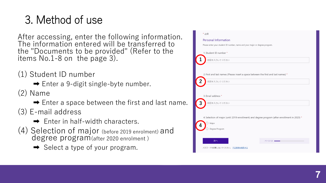After accessing, enter the following information. The information entered will be transferred to the "Documents to be provided" (Refer to the items No.1 -8 on the page 3).

- (1) Student ID number
	- ➡ Enter a 9-digit single -byte number.
- (2) Name
	- $\rightarrow$  Enter a space between the first and last name.
- (3) E -mail address
	- **→** Enter in half-width characters.
- (4) Selection of major (before 2019 enrolment) and degree program(after 2020 enrolment )
	- $\rightarrow$  Select a type of your program.

| * 必須 |                                                                                               |
|------|-----------------------------------------------------------------------------------------------|
|      | Personal Information                                                                          |
|      | Please enter your student ID number, name and your major or degree program.                   |
|      | 1. Student ID number *                                                                        |
|      | 回答を入力してください                                                                                   |
|      |                                                                                               |
|      | 2. First and last names (Please insert a space between the first and last names) *            |
| 2    | 回答を入力してください                                                                                   |
|      |                                                                                               |
|      |                                                                                               |
|      | 3. Email address *                                                                            |
| 3    | 回答を入力してください                                                                                   |
|      |                                                                                               |
|      | 4. Selection of major (until 2019 enrollment) and degree program (after enrollment in 2020) * |
|      | Major                                                                                         |
|      | Degree Program                                                                                |
|      |                                                                                               |
|      | 次へ<br>ページ 1/5 =                                                                               |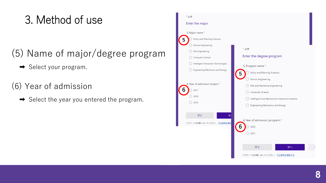#### (5) Name of major/degree program

- **→** Select your program.
- (6) Year of admission
	- ➡ Select the year you entered the program.

| * 必須                                 |                                                |
|--------------------------------------|------------------------------------------------|
| Enter the major                      |                                                |
| 5. Major name *                      |                                                |
| Policy and Planning Sciences<br>5    |                                                |
| Service Engineering                  |                                                |
| Risk Engineering                     | * 必須                                           |
| Computer Science                     | Enter the degree program                       |
| Intelligent Interaction Technologies | 5. Program name *                              |
| Engineering Mechanics and Energy     | Policy and Planning Sciences                   |
|                                      | Service Engineering                            |
| 6. Year of admission (major) *       | Risk and Resilience Engineering                |
| h<br>2017                            | Computer Science                               |
| 2018                                 | Intelligent and Mechanical Interaction Systems |
| 2019                                 | Engineering Mechanics and Energy               |
|                                      |                                                |
| 戻る<br>次                              |                                                |
| パスワードを記載しないでください。<br>不正使用を報告         | 6. Year of admission (program) *               |
|                                      | 2020                                           |
|                                      | 2021                                           |
|                                      |                                                |
|                                      | 戻る<br>次へ                                       |
|                                      | パスワードを記載しないでください。 不正使用を報告する                    |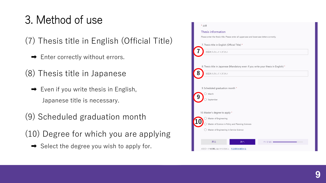(7) Thesis title in English (Official Title)

- **→** Enter correctly without errors.
- (8) Thesis title in Japanese
	- ➡ Even if you write thesis in English, Japanese title is necessary.
- (9) Scheduled graduation month
- (10) Degree for which you are applying
	- $\rightarrow$  Select the degree you wish to apply for.

| * 必須                                                                                       |           |
|--------------------------------------------------------------------------------------------|-----------|
| Thesis information                                                                         |           |
| Please enter the thesis title. Please enter all uppercase and lowercase letters correctly. |           |
| 7. Thesis title in English (Official Title) *                                              |           |
| 回答を入力してください                                                                                |           |
|                                                                                            |           |
| 8. Thesis title in Japanese (Mandatory even if you write your thesis in English) *         |           |
| 8<br>回答を入力してください                                                                           |           |
|                                                                                            |           |
| 9. Scheduled graduation month *                                                            |           |
| March                                                                                      |           |
| September                                                                                  |           |
|                                                                                            |           |
| 10. Master's degree to apply *                                                             |           |
| Master of Engineering                                                                      |           |
| Master of Science in Policy and Planning Sciences                                          |           |
| Master of Engineering in Service Science                                                   |           |
|                                                                                            |           |
| 戻る<br>次へ                                                                                   | ページ 4/5 • |
| パスワードを記載しないでください。不正使用を報告する                                                                 |           |
|                                                                                            |           |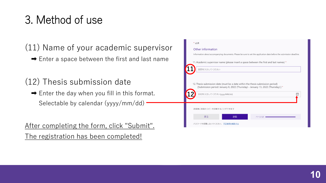(11) Name of your academic supervisor

 $\rightarrow$  Enter a space between the first and last name

(12) Thesis submission date

 $\rightarrow$  Enter the day when you fill in this format. Selectable by calendar (yyyy/mm/dd) –

After completing the form, click "Submit". The registration has been completed!

| * 必須                                                                                                                                                                                           |
|------------------------------------------------------------------------------------------------------------------------------------------------------------------------------------------------|
| Other information                                                                                                                                                                              |
| Information about accompanying documents. Please be sure to set the application date before the submission deadline.                                                                           |
| 11. Academic supervisor name (please insert a space between the first and last names) *                                                                                                        |
| 回答を入力してください                                                                                                                                                                                    |
| 12. Thesis submission date (must be a date within the thesis submission period)<br>[Submission period: January 6, 2022 (Thursday) - January 13, 2022 (Thursday) ] *<br>日付を入力してください(yyyy/MM/dd) |
| 送信後に回答のコピーを印刷することができます                                                                                                                                                                         |
| 送信<br>戻る<br>ページ 5/5                                                                                                                                                                            |
| パスワードを記載しないでください。 不正使用を報告する                                                                                                                                                                    |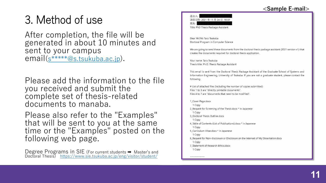After completion, the file will be generated in about 10 minutes and sent to your campus email(s \*\*\*\*\*@s.tsukuba.ac.jp).

Please add the information to the file you received and submit the complete set of thesis -related documents to manaba .

Please also refer to the "Examples" that will be sent to you at the same time or the "Examples" posted on the following web page.

Degree Programs in SIE (For current students → Master's and Doctoral Thesis) <https://www.sie.tsukuba.ac.jp/eng/visitor/student/>



Dear Mr/Ms Taro Tsukuba Doctoral Program in Computer Science

We are going to send these documents from the doctoral thesis package assistant (2021 version v1) that creates the documents required for doctoral thesis application.

Your name: Taro Tsukuba Thesis title: Ph.D. Thesis Package Assistant

This email is sent from the Doctoral Thesis Package Assistant of the Graduate School of Systems and Information Engineering, University of Tsukuba. If you are not a graduate student, please contact the following

# List of attached files (including the number of copies submitted) Files 1 to 3 are "directly printable documents". Files 4 to 7 are "documents that need to be modified".

1\_Cover Page.docx 1 Copy 2 Request for Screening of the Thesis.docx \* in Japanese 1 Copy 3 Doctoral Thesis Outline.docx 1 Copy 4 Table of Contents (List of Publications).docx \* in Japanese 1 Copy 5 Curriculum Vitae.docx \* in Japanese 1 Copy 6\_Request for Non-disclosure or Disclosure on the Internet of My Dissertation.docx 1 Copy 7 Statement of Research Ethics.docx 1 Copy